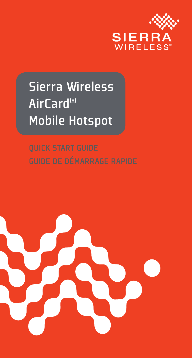

## Sierra Wireless AirCard® Mobile Hotspot

QUICK START GUIDE

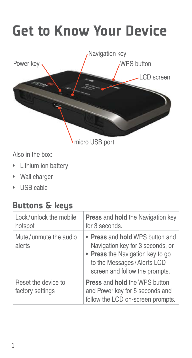# Get to Know Your Device



Also in the box:

- Lithium ion battery
- Wall charger
- USB cable

#### Buttons & keys

| Lock/unlock the mobile<br>hotspot       | <b>Press and hold the Navigation key</b><br>for 3 seconds.                                                                                                              |
|-----------------------------------------|-------------------------------------------------------------------------------------------------------------------------------------------------------------------------|
| Mute/unmute the audio<br>alerts         | • Press and hold WPS button and<br>Navigation key for 3 seconds, or<br>• Press the Navigation key to go<br>to the Messages/Alerts LCD<br>screen and follow the prompts. |
| Reset the device to<br>factory settings | <b>Press and hold the WPS button</b><br>and Power key for 5 seconds and<br>follow the LCD on-screen prompts.                                                            |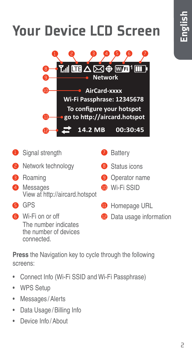# Your Device LCD Screen



- Signal strength
- **2** Network technology
- **3** Roaming
- 4 Messages View at http://aircard.hotspot
- **B** GPS
	- **6** Wi-Fi on or off The number indicates the number of devices connected.

**Press** the Navigation key to cycle through the following screens:

- Connect Info (Wi-Fi SSID and Wi-Fi Passphrase)
- WPS Setup
- Messages / Alerts
- Data Usage / Billing Info
- Device Info / About

**7** Battery

12 Data usage information



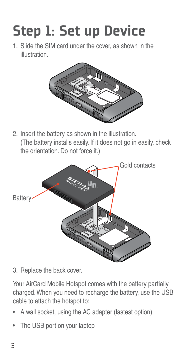# Step 1: Set up Device

1. Slide the SIM card under the cover, as shown in the illustration.



2. Insert the battery as shown in the illustration. (The battery installs easily. If it does not go in easily, check the orientation. Do not force it.)



3. Replace the back cover.

Your AirCard Mobile Hotspot comes with the battery partially charged. When you need to recharge the battery, use the USB cable to attach the hotspot to:

- A wall socket, using the AC adapter (fastest option)
- The USB port on your laptop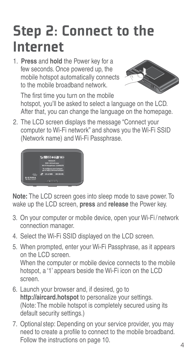## Step 2: Connect to the Internet

1. **Press** and **hold** the Power key for a few seconds. Once powered up, the mobile hotspot automatically connects to the mobile broadband network.



The first time you turn on the mobile hotspot, you'll be asked to select a language on the LCD. After that, you can change the language on the homepage.

2. The LCD screen displays the message "Connect your computer to Wi-Fi network" and shows you the Wi-Fi SSID (Network name) and Wi-Fi Passphrase.



**Note:** The LCD screen goes into sleep mode to save power. To wake up the LCD screen, **press** and **release** the Power key.

- 3. On your computer or mobile device, open your Wi-Fi / network connection manager.
- 4. Select the Wi-Fi SSID displayed on the LCD screen.
- 5. When prompted, enter your Wi-Fi Passphrase, as it appears on the LCD screen. When the computer or mobile device connects to the mobile hotspot, a '1' appears beside the Wi-Fi icon on the LCD screen.
- 6. Launch your browser and, if desired, go to **http://aircard.hotspot** to personalize your settings. (Note: The mobile hotspot is completely secured using its default security settings.)
- 7. Optional step: Depending on your service provider, you may need to create a profile to connect to the mobile broadband. Follow the instructions on page 10.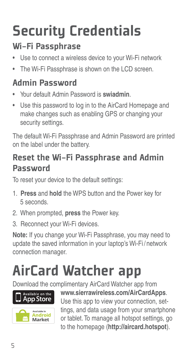# Security Credentials

#### Wi-Fi Passphrase

- Use to connect a wireless device to your Wi-Fi network
- The Wi-Fi Passphrase is shown on the LCD screen.

#### Admin Password

- Your default Admin Password is **swiadmin**.
- Use this password to log in to the AirCard Homepage and make changes such as enabling GPS or changing your security settings.

The default Wi-Fi Passphrase and Admin Password are printed on the label under the battery.

#### Reset the Wi-Fi Passphrase and Admin Password

To reset your device to the default settings:

- 1. **Press** and **hold** the WPS button and the Power key for 5 seconds.
- 2. When prompted, **press** the Power key.
- 3. Reconnect your Wi-Fi devices.

**Note:** If you change your Wi-Fi Passphrase, you may need to update the saved information in your laptop's Wi-Fi / network connection manager.

# AirCard Watcher app

Download the complimentary AirCard Watcher app from



**www.sierrawireless.com/AirCardApps**.

Use this app to view your connection, settings, and data usage from your smartphone or tablet. To manage all hotspot settings, go to the homepage (**http://aircard.hotspot**).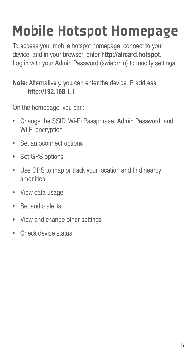# Mobile Hotspot Homepage

To access your mobile hotspot homepage, connect to your device, and in your browser, enter **http://aircard.hotspot**. Log in with your Admin Password (swiadmin) to modify settings.

#### **Note:** Alternatively, you can enter the device IP address **http://192.168.1.1**

On the homepage, you can:

- Change the SSID, Wi-Fi Passphrase, Admin Password, and Wi-Fi encryption
- Set autoconnect options
- Set GPS options
- Use GPS to map or track your location and find nearby amenities
- View data usage
- Set audio alerts
- View and change other settings
- Check device status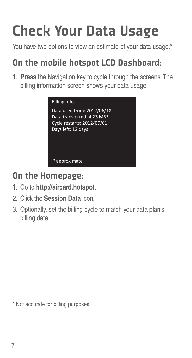# Check Your Data Usage

You have two options to view an estimate of your data usage.<sup>\*</sup>

#### On the mobile hotspot LCD Dashboard:

1. **Press** the Navigation key to cycle through the screens. The billing information screen shows your data usage.



#### On the Homepage:

- 1. Go to **http://aircard.hotspot**.
- 2. Click the **Session Data** icon.
- 3. Optionally, set the billing cycle to match your data plan's billing date.

\* Not accurate for billing purposes.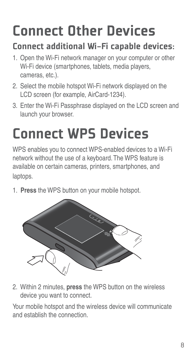# Connect Other Devices

#### Connect additional Wi-Fi capable devices:

- 1. Open the Wi-Fi network manager on your computer or other Wi-Fi device (smartphones, tablets, media players, cameras, etc.).
- 2. Select the mobile hotspot Wi-Fi network displayed on the LCD screen (for example, AirCard-1234).
- 3. Enter the Wi-Fi Passphrase displayed on the LCD screen and launch your browser.

# Connect WPS Devices

WPS enables you to connect WPS-enabled devices to a Wi-Fi network without the use of a keyboard. The WPS feature is available on certain cameras, printers, smartphones, and laptops.

1. **Press** the WPS button on your mobile hotspot.



2. Within 2 minutes, **press** the WPS button on the wireless device you want to connect.

Your mobile hotspot and the wireless device will communicate and establish the connection.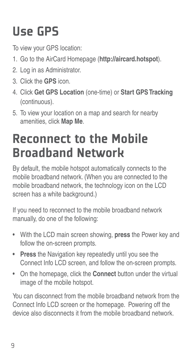## Use GPS

To view your GPS location:

- 1. Go to the AirCard Homepage (**http://aircard.hotspot**).
- 2. Log in as Administrator.
- 3. Click the **GPS** icon.
- 4. Click **Get GPS Location** (one-time) or **Start GPS Tracking** (continuous).
- 5. To view your location on a map and search for nearby amenities, click **Map Me**.

## Reconnect to the Mobile Broadband Network

By default, the mobile hotspot automatically connects to the mobile broadband network. (When you are connected to the mobile broadband network, the technology icon on the LCD screen has a white background.)

If you need to reconnect to the mobile broadband network manually, do one of the following:

- With the LCD main screen showing, **press** the Power key and follow the on-screen prompts.
- **Press** the Navigation key repeatedly until you see the Connect Info LCD screen, and follow the on-screen prompts.
- On the homepage, click the **Connect** button under the virtual image of the mobile hotspot.

You can disconnect from the mobile broadband network from the Connect Info LCD screen or the homepage. Powering off the device also disconnects it from the mobile broadband network.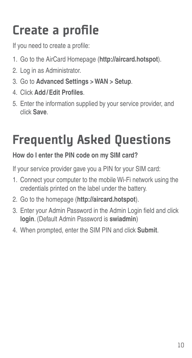## Create a profile

If you need to create a profile:

- 1. Go to the AirCard Homepage (**http://aircard.hotspot**).
- 2. Log in as Administrator.
- 3. Go to **Advanced Settings > WAN > Setup**.
- 4. Click **Add/Edit Profi les**.
- 5. Enter the information supplied by your service provider, and click **Save**.

## Frequently Asked Questions

#### **How do I enter the PIN code on my SIM card?**

If your service provider gave you a PIN for your SIM card:

- 1. Connect your computer to the mobile Wi-Fi network using the credentials printed on the label under the battery.
- 2. Go to the homepage (**http://aircard.hotspot**).
- 3. Enter your Admin Password in the Admin Login field and click **login**. (Default Admin Password is **swiadmin**)
- 4. When prompted, enter the SIM PIN and click **Submit**.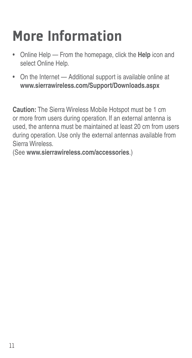# More Information

- Online Help From the homepage, click the **Help** icon and select Online Help.
- On the Internet Additional support is available online at **www.sierrawireless.com/Support/Downloads.aspx**

**Caution:** The Sierra Wireless Mobile Hotspot must be 1 cm or more from users during operation. If an external antenna is used, the antenna must be maintained at least 20 cm from users during operation. Use only the external antennas available from Sierra Wireless.

(See **www.sierrawireless.com/accessories**.)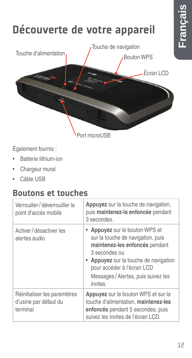

Port microUSB

Également fournis :

- Batterie lithium-ion
- Chargeur mural
- Câble USB

#### Boutons et touches

| Verrouiller / déverrouiller le<br>point d'accès mobile            | Appuyez sur la touche de navigation,<br>puis maintenez-la enfoncée pendant<br>3 secondes.                                                                                                                                                       |
|-------------------------------------------------------------------|-------------------------------------------------------------------------------------------------------------------------------------------------------------------------------------------------------------------------------------------------|
| Activer / désactiver les<br>alertes audio                         | • Appuyez sur le bouton WPS et<br>sur la touche de navigation, puis<br>maintenez-les enfoncés pendant<br>3 secondes ou<br>• Appuyez sur la touche de navigation<br>pour accéder à l'écran LCD<br>Messages / Alertes, puis suivez les<br>invites |
| Réinitialiser les paramètres<br>d'usine par défaut du<br>terminal | Appuyez sur le bouton WPS et sur la<br>touche d'alimentation, maintenez-les<br>enfoncés pendant 5 secondes, puis<br>suivez les invites de l'écran LCD.                                                                                          |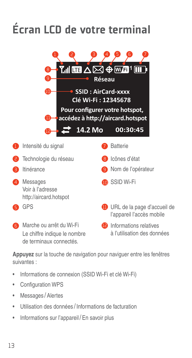## Écran LCD de votre terminal



**Appuyez** sur la touche de navigation pour naviguer entre les fenêtres suivantes :

- Informations de connexion (SSID Wi-Fi et clé Wi-Fi)
- Configuration WPS
- Messages / Alertes
- Utilisation des données / Informations de facturation
- Informations sur l'appareil / En savoir plus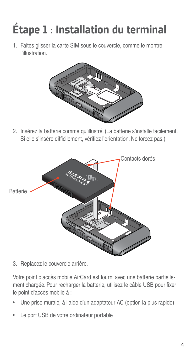## Étape 1 : Installation du terminal

1. Faites glisser la carte SIM sous le couvercle, comme le montre l'illustration.



2. Insérez la batterie comme qu'illustré. (La batterie s'installe facilement. Si elle s'insère difficilement, vérifiez l'orientation. Ne forcez pas.)



3. Replacez le couvercle arrière.

Votre point d'accès mobile AirCard est fourni avec une batterie partiellement chargée. Pour recharger la batterie, utilisez le câble USB pour fixer le point d'accès mobile à :

- Une prise murale, à l'aide d'un adaptateur AC (option la plus rapide)
- Le port USB de votre ordinateur portable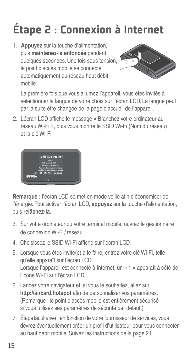# Étape 2 : Connexion à Internet

1. **Appuyez** sur la touche d'alimentation, puis **maintenez-la enfoncée** pendant quelques secondes. Une fois sous tension, le point d'accès mobile se connecte automatiquement au réseau haut débit mobile.



La première fois que vous allumez l'appareil, vous êtes invités à sélectionner la langue de votre choix sur l'écran LCD. La langue peut par la suite être changée de la page d'accueil de l'appareil.

2. L'écran LCD affiche le message « Branchez votre ordinateur au réseau Wi-Fi », puis vous montre le SSID Wi-Fi (Nom du réseau) et la clé Wi-Fi.



Remarque : l'écran LCD se met en mode veille afin d'économiser de l'énergie. Pour activer l'écran LCD, **appuyez** sur la touche d'alimentation, puis **relâchez-la**.

- 3. Sur votre ordinateur ou votre terminal mobile, ouvrez le gestionnaire de connexion Wi-Fi / réseau.
- 4. Choisissez le SSID Wi-Fi affiché sur l'écran LCD.
- 5. Lorsque vous êtes invité(e) à le faire, entrez votre clé Wi-Fi, telle qu'elle apparaît sur l'écran LCD. Lorsque l'appareil est connecté à Internet, un « 1 » apparaît à côté de l'icône Wi-Fi sur l'écran LCD.
- 6. Lancez votre navigateur et, si vous le souhaitez, allez sur http://aircard.hotspot afin de personnaliser vos paramètres. (Remarque : le point d'accès mobile est entièrement sécurisé si vous utilisez ses paramètres de sécurité par défaut.)
- 7. Étape facultative : en fonction de votre fournisseur de services, vous devrez éventuellement créer un profil d'utilisateur pour vous connecter au haut débit mobile. Suivez les instructions de la page 21.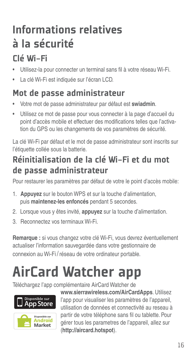### Informations relatives à la sécurité

#### Clé Wi-Fi

- Utilisez-la pour connecter un terminal sans fi l à votre réseau Wi-Fi.
- La clé Wi-Fi est indiquée sur l'écran LCD.

#### Mot de passe administrateur

- Votre mot de passe administrateur par défaut est **swiadmin**.
- Utilisez ce mot de passe pour vous connecter à la page d'accueil du point d'accès mobile et effectuer des modifications telles que l'activation du GPS ou les changements de vos paramètres de sécurité.

La clé Wi-Fi par défaut et le mot de passe administrateur sont inscrits sur l'étiquette collée sous la batterie.

#### Réinitialisation de la clé Wi-Fi et du mot de passe administrateur

Pour restaurer les paramètres par défaut de votre le point d'accès mobile:

- 1. **Appuyez** sur le bouton WPS et sur la touche d'alimentation, puis **maintenez-les enfoncés** pendant 5 secondes.
- 2. Lorsque vous y êtes invité, **appuyez** sur la touche d'alimentation.
- 3. Reconnectez vos terminaux Wi-Fi.

**Remarque :** si vous changez votre clé Wi-Fi, vous devrez éventuellement actualiser l'information sauvegardée dans votre gestionnaire de connexion au Wi-Fi / réseau de votre ordinateur portable.

# AirCard Watcher app

Téléchargez l'app complémentaire AirCard Watcher de





**www.sierrawireless.com/AirCardApps**. Utilisez l'app pour visualiser les paramètres de l'appareil, utilisation de données et connectivité au reseau à partir de votre téléphone sans fil ou tablette. Pour gérer tous les parametres de l'appareil, allez sur (**http://aircard.hotspot**).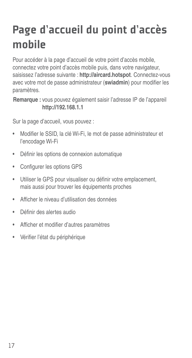## Page d'accueil du point d'accès mobile

Pour accéder à la page d'accueil de votre point d'accès mobile, connectez votre point d'accès mobile puis, dans votre navigateur, saisissez l'adresse suivante : **http://aircard.hotspot**. Connectez-vous avec votre mot de passe administrateur (swiadmin) pour modifier les paramètres.

**Remarque :** vous pouvez également saisir l'adresse IP de l'appareil **http://192.168.1.1**

Sur la page d'accueil, vous pouvez :

- Modifier le SSID, la clé Wi-Fi, le mot de passe administrateur et l'encodage Wi-Fi
- Définir les options de connexion automatique
- Configurer les options GPS
- Utiliser le GPS pour visualiser ou définir votre emplacement. mais aussi pour trouver les équipements proches
- Afficher le niveau d'utilisation des données
- Définir des alertes audio
- Afficher et modifier d'autres paramètres
- Vérifier l'état du périphérique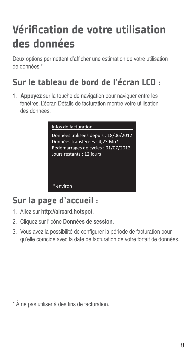## Vérification de votre utilisation des données

Deux options permettent d'afficher une estimation de votre utilisation de données<sup>\*</sup>

#### Sur le tableau de bord de l'écran LCD :

1. **Appuyez** sur la touche de navigation pour naviguer entre les fenêtres. L'écran Détails de facturation montre votre utilisation des données.

| Infos de facturation                                                    |  |
|-------------------------------------------------------------------------|--|
| Données utilisées depuis : 18/06/2012<br>Données transférées : 4,23 Mo* |  |
| Redémarrages de cycles : 01/07/2012<br>Jours restants : 12 jours        |  |
|                                                                         |  |
|                                                                         |  |

#### Sur la page d'accueil :

- 1. Allez sur **http://aircard.hotspot**.
- 2. Cliquez sur l'icône **Données de session**.
- 3. Vous avez la possibilité de configurer la période de facturation pour qu'elle coïncide avec la date de facturation de votre forfait de données.

 $*$  À ne pas utiliser à des fins de facturation.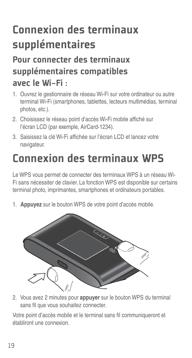## Connexion des terminaux supplémentaires

#### Pour connecter des terminaux supplémentaires compatibles avec le Wi-Fi :

- 1. Ouvrez le gestionnaire de réseau Wi-Fi sur votre ordinateur ou autre terminal Wi-Fi (smartphones, tablettes, lecteurs multimédias, terminal photos, etc.).
- 2. Choisissez le réseau point d'accès Wi-Fi mobile affiché sur l'écran LCD (par exemple, AirCard-1234).
- 3. Saisissez la clé Wi-Fi affichée sur l'écran LCD et lancez votre navigateur.

### Connexion des terminaux WPS

Le WPS vous permet de connecter des terminaux WPS à un réseau Wi-Fi sans nécessiter de clavier. La fonction WPS est disponible sur certains terminal photo, imprimantes, smartphones et ordinateurs portables.

1. **Appuyez** sur le bouton WPS de votre point d'accès mobile.



2. Vous avez 2 minutes pour **appuyer** sur le bouton WPS du terminal sans fil que vous souhaitez connecter.

Votre point d'accès mobile et le terminal sans fil communiqueront et établiront une connexion.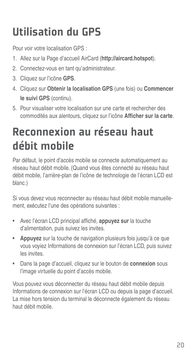### Utilisation du GPS

Pour voir votre localisation GPS :

- 1. Allez sur la Page d'accueil AirCard (**http://aircard.hotspot**).
- 2. Connectez-vous en tant qu'administrateur.
- 3. Cliquez sur l'icône **GPS**.
- 4. Cliquez sur **Obtenir la localisation GPS** (une fois) ou **Commencer le suivi GPS** (continu).
- 5. Pour visualiser votre localisation sur une carte et rechercher des commodités aux alentours, cliquez sur l'icône Afficher sur la carte.

### Reconnexion au réseau haut débit mobile

Par défaut, le point d'accès mobile se connecte automatiquement au réseau haut débit mobile. (Quand vous êtes connecté au réseau haut débit mobile, l'arrière-plan de l'icône de technologie de l'écran LCD est blanc.)

Si vous devez vous reconnecter au réseau haut débit mobile manuellement, exécutez l'une des opérations suivantes :

- Avec l'écran LCD principal affiché, **appuyez sur** la touche d'alimentation, puis suivez les invites.
- **Appuyez** sur la touche de navigation plusieurs fois jusqu'à ce que vous voyiez Informations de connexion sur l'écran LCD, puis suivez les invites.
- Dans la page d'accueil, cliquez sur le bouton de **connexion** sous l'image virtuelle du point d'accès mobile.

Vous pouvez vous déconnecter du réseau haut débit mobile depuis Informations de connexion sur l'écran LCD ou depuis la page d'accueil. La mise hors tension du terminal le déconnecte également du réseau haut débit mobile.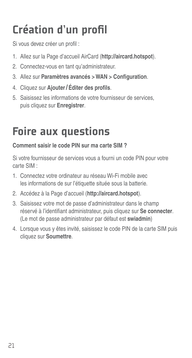## Création d'un profil

Si vous devez créer un profil :

- 1. Allez sur la Page d'accueil AirCard (**http://aircard.hotspot**).
- 2. Connectez-vous en tant qu'administrateur.
- 3. Allez sur **Paramètres avancés > WAN > Configuration**.
- 4. Cliquez sur Ajouter / Éditer des profils.
- 5. Saisissez les informations de votre fournisseur de services, puis cliquez sur **Enregistrer**.

### Foire aux questions

#### **Comment saisir le code PIN sur ma carte SIM ?**

Si votre fournisseur de services vous a fourni un code PIN pour votre carte SIM :

- 1. Connectez votre ordinateur au réseau Wi-Fi mobile avec les informations de sur l'étiquette située sous la batterie.
- 2. Accédez à la Page d'accueil (**http://aircard.hotspot**).
- 3. Saisissez votre mot de passe d'administrateur dans le champ réservé à l'identifiant administrateur, puis cliquez sur Se connecter. (Le mot de passe administrateur par défaut est **swiadmin**)
- 4. Lorsque vous y êtes invité, saisissez le code PIN de la carte SIM puis cliquez sur **Soumettre**.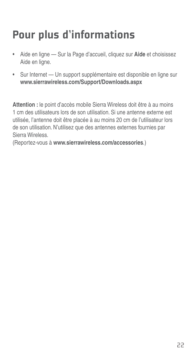## Pour plus d'informations

- Aide en ligne Sur la Page d'accueil, cliquez sur **Aide** et choisissez Aide en ligne.
- Sur Internet Un support supplémentaire est disponible en ligne sur **www.sierrawireless.com/Support/Downloads.aspx**

**Attention :** le point d'accès mobile Sierra Wireless doit être à au moins 1 cm des utilisateurs lors de son utilisation. Si une antenne externe est utilisée, l'antenne doit être placée à au moins 20 cm de l'utilisateur lors de son utilisation. N'utilisez que des antennes externes fournies par Sierra Wireless.

(Reportez-vous à **www.sierrawireless.com/accessories**.)